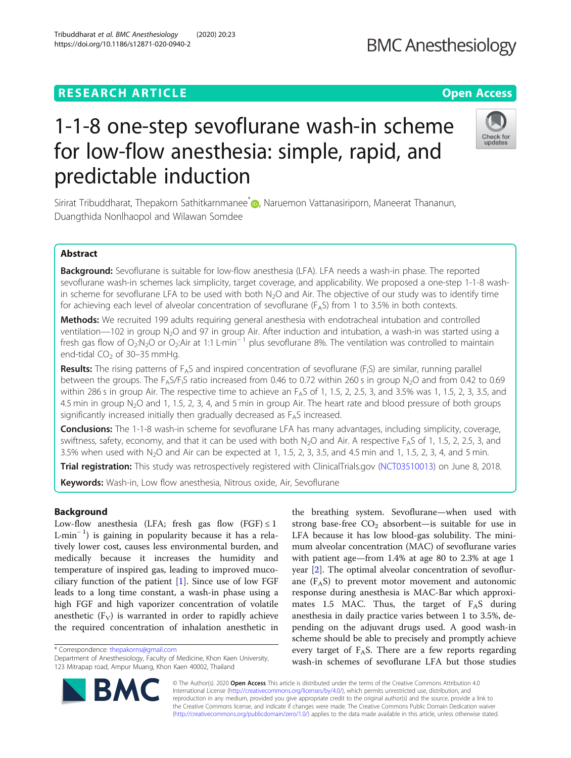# **RESEARCH ARTICLE Example 2014 CONSIDERING A RESEARCH ARTICLE**

# 1-1-8 one-step sevoflurane wash-in scheme for low-flow anesthesia: simple, rapid, and predictable induction

Sirirat Tribuddharat, Thepakorn Sathitkarnmanee<sup>\*</sup> , Naruemon Vattanasiriporn, Maneerat Thananun, Duangthida Nonlhaopol and Wilawan Somdee

# Abstract

Background: Sevoflurane is suitable for low-flow anesthesia (LFA). LFA needs a wash-in phase. The reported sevoflurane wash-in schemes lack simplicity, target coverage, and applicability. We proposed a one-step 1-1-8 washin scheme for sevoflurane LFA to be used with both  $N<sub>2</sub>O$  and Air. The objective of our study was to identify time for achieving each level of alveolar concentration of sevoflurane ( $F<sub>A</sub>S$ ) from 1 to 3.5% in both contexts.

Methods: We recruited 199 adults requiring general anesthesia with endotracheal intubation and controlled ventilation—102 in group N<sub>2</sub>O and 97 in group Air. After induction and intubation, a wash-in was started using a fresh gas flow of O<sub>2</sub>:N<sub>2</sub>O or O<sub>2</sub>:Air at 1:1 L·min<sup>-1</sup> plus sevoflurane 8%. The ventilation was controlled to maintain end-tidal  $CO<sub>2</sub>$  of 30–35 mmHg.

**Results:** The rising patterns of F<sub>A</sub>S and inspired concentration of sevoflurane (F<sub>I</sub>S) are similar, running parallel between the groups. The  $F_A S/F_1 S$  ratio increased from 0.46 to 0.72 within 260 s in group N<sub>2</sub>O and from 0.42 to 0.69 within 286 s in group Air. The respective time to achieve an  $F<sub>A</sub>S$  of 1, 1.5, 2, 2.5, 3, and 3.5% was 1, 1.5, 2, 3, 3.5, and 4.5 min in group  $N_2O$  and 1, 1.5, 2, 3, 4, and 5 min in group Air. The heart rate and blood pressure of both groups significantly increased initially then gradually decreased as  $F<sub>A</sub>S$  increased.

**Conclusions:** The 1-1-8 wash-in scheme for sevoflurane LFA has many advantages, including simplicity, coverage, swiftness, safety, economy, and that it can be used with both N<sub>2</sub>O and Air. A respective F<sub>A</sub>S of 1, 1.5, 2, 2.5, 3, and 3.5% when used with  $N_2O$  and Air can be expected at 1, 1.5, 2, 3, 3.5, and 4.5 min and 1, 1.5, 2, 3, 4, and 5 min.

Trial registration: This study was retrospectively registered with ClinicalTrials.gov [\(NCT03510013](https://register.clinicaltrials.gov/prs/app/action/SelectProtocol?sid=S0007Y6V&selectaction=Edit&uid=U0001BAA&ts=2&cx=aebl1)) on June 8, 2018.

Keywords: Wash-in, Low flow anesthesia, Nitrous oxide, Air, Sevoflurane

# Background

Low-flow anesthesia (LFA; fresh gas flow  $(FGF) \leq 1$ L·min<sup>−</sup> <sup>1</sup> ) is gaining in popularity because it has a relatively lower cost, causes less environmental burden, and medically because it increases the humidity and temperature of inspired gas, leading to improved mucociliary function of the patient  $[1]$  $[1]$ . Since use of low FGF leads to a long time constant, a wash-in phase using a high FGF and high vaporizer concentration of volatile anesthetic  $(F_V)$  is warranted in order to rapidly achieve the required concentration of inhalation anesthetic in

\* Correspondence: [thepakorns@gmail.com](mailto:thepakorns@gmail.com)

© The Author(s). 2020 **Open Access** This article is distributed under the terms of the Creative Commons Attribution 4.0 International License [\(http://creativecommons.org/licenses/by/4.0/](http://creativecommons.org/licenses/by/4.0/)), which permits unrestricted use, distribution, and reproduction in any medium, provided you give appropriate credit to the original author(s) and the source, provide a link to the Creative Commons license, and indicate if changes were made. The Creative Commons Public Domain Dedication waiver [\(http://creativecommons.org/publicdomain/zero/1.0/](http://creativecommons.org/publicdomain/zero/1.0/)) applies to the data made available in this article, unless otherwise stated.

the breathing system. Sevoflurane—when used with strong base-free  $CO<sub>2</sub>$  absorbent—is suitable for use in LFA because it has low blood-gas solubility. The minimum alveolar concentration (MAC) of sevoflurane varies with patient age—from 1.4% at age 80 to 2.3% at age 1 year [\[2](#page-6-0)]. The optimal alveolar concentration of sevoflurane  $(F_A S)$  to prevent motor movement and autonomic response during anesthesia is MAC-Bar which approximates 1.5 MAC. Thus, the target of  $F_A S$  during anesthesia in daily practice varies between 1 to 3.5%, depending on the adjuvant drugs used. A good wash-in scheme should be able to precisely and promptly achieve every target of  $F_A S$ . There are a few reports regarding wash-in schemes of sevoflurane LFA but those studies





Department of Anesthesiology, Faculty of Medicine, Khon Kaen University, 123 Mitrapap road, Ampur Muang, Khon Kaen 40002, Thailand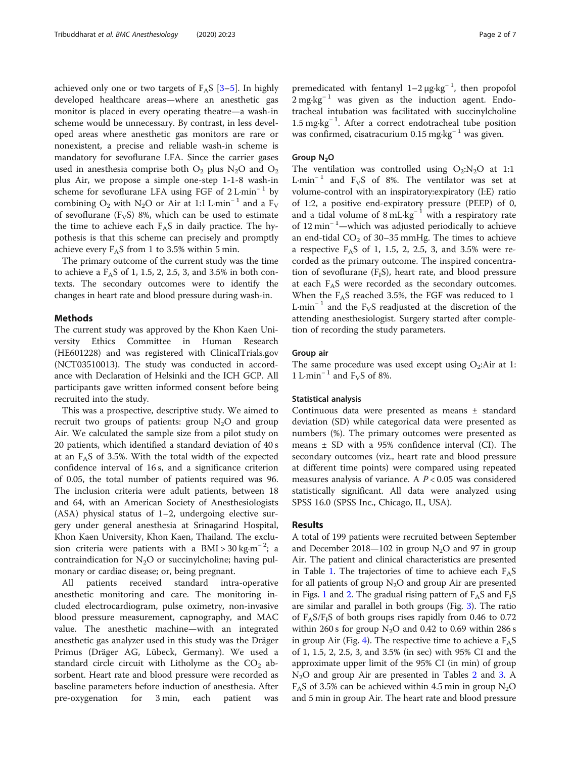achieved only one or two targets of  $F_A S$  [\[3](#page-6-0)–[5\]](#page-6-0). In highly developed healthcare areas—where an anesthetic gas monitor is placed in every operating theatre—a wash-in scheme would be unnecessary. By contrast, in less developed areas where anesthetic gas monitors are rare or nonexistent, a precise and reliable wash-in scheme is mandatory for sevoflurane LFA. Since the carrier gases used in anesthesia comprise both  $O_2$  plus N<sub>2</sub>O and  $O_2$ plus Air, we propose a simple one-step 1-1-8 wash-in scheme for sevoflurane LFA using FGF of  $2$  L·min<sup>-1</sup> by combining O<sub>2</sub> with N<sub>2</sub>O or Air at 1:1 L·min<sup>-1</sup> and a F<sub>V</sub> of sevoflurane ( $F_VS$ ) 8%, which can be used to estimate the time to achieve each  $F_A S$  in daily practice. The hypothesis is that this scheme can precisely and promptly achieve every  $F_A S$  from 1 to 3.5% within 5 min.

The primary outcome of the current study was the time to achieve a  $F_A S$  of 1, 1.5, 2, 2.5, 3, and 3.5% in both contexts. The secondary outcomes were to identify the changes in heart rate and blood pressure during wash-in.

# Methods

The current study was approved by the Khon Kaen University Ethics Committee in Human Research (HE601228) and was registered with ClinicalTrials.gov (NCT03510013). The study was conducted in accordance with Declaration of Helsinki and the ICH GCP. All participants gave written informed consent before being recruited into the study.

This was a prospective, descriptive study. We aimed to recruit two groups of patients: group  $N_2O$  and group Air. We calculated the sample size from a pilot study on 20 patients, which identified a standard deviation of 40 s at an  $F_A S$  of 3.5%. With the total width of the expected confidence interval of 16 s, and a significance criterion of 0.05, the total number of patients required was 96. The inclusion criteria were adult patients, between 18 and 64, with an American Society of Anesthesiologists (ASA) physical status of 1–2, undergoing elective surgery under general anesthesia at Srinagarind Hospital, Khon Kaen University, Khon Kaen, Thailand. The exclusion criteria were patients with a BMI >  $30 \text{ kg} \cdot \text{m}^{-2}$ ; a contraindication for  $N_2O$  or succinylcholine; having pulmonary or cardiac disease; or, being pregnant.

All patients received standard intra-operative anesthetic monitoring and care. The monitoring included electrocardiogram, pulse oximetry, non-invasive blood pressure measurement, capnography, and MAC value. The anesthetic machine—with an integrated anesthetic gas analyzer used in this study was the Dräger Primus (Dräger AG, Lübeck, Germany). We used a standard circle circuit with Litholyme as the  $CO<sub>2</sub>$  absorbent. Heart rate and blood pressure were recorded as baseline parameters before induction of anesthesia. After pre-oxygenation for 3 min, each patient was

premedicated with fentanyl  $1-2 \mu g \cdot kg^{-1}$ , then propofol  $2 \text{ mg} \cdot \text{kg}^{-1}$  was given as the induction agent. Endotracheal intubation was facilitated with succinylcholine 1.5 mg·kg<sup>−</sup> <sup>1</sup> . After a correct endotracheal tube position was confirmed, cisatracurium  $0.15$  mg⋅kg<sup>-1</sup> was given.

# Group  $N_2O$

The ventilation was controlled using  $O_2:N_2O$  at 1:1 L·min<sup>-1</sup> and F<sub>V</sub>S of 8%. The ventilator was set at volume-control with an inspiratory:expiratory (I:E) ratio of 1:2, a positive end-expiratory pressure (PEEP) of 0, and a tidal volume of  $8 \text{ mL} \cdot \text{kg}^{-1}$  with a respiratory rate of 12 min<sup>−</sup> <sup>1</sup> —which was adjusted periodically to achieve an end-tidal  $CO<sub>2</sub>$  of 30–35 mmHg. The times to achieve a respective  $F_A S$  of 1, 1.5, 2, 2.5, 3, and 3.5% were recorded as the primary outcome. The inspired concentration of sevoflurane  $(F_1S)$ , heart rate, and blood pressure at each  $F_A S$  were recorded as the secondary outcomes. When the  $F_A S$  reached 3.5%, the FGF was reduced to 1 L·min<sup>-1</sup> and the F<sub>V</sub>S readjusted at the discretion of the attending anesthesiologist. Surgery started after completion of recording the study parameters.

#### Group air

The same procedure was used except using  $O_2$ :Air at 1: 1 L·min<sup>-1</sup> and F<sub>V</sub>S of 8%.

## Statistical analysis

Continuous data were presented as means ± standard deviation (SD) while categorical data were presented as numbers (%). The primary outcomes were presented as means ± SD with a 95% confidence interval (CI). The secondary outcomes (viz., heart rate and blood pressure at different time points) were compared using repeated measures analysis of variance. A  $P < 0.05$  was considered statistically significant. All data were analyzed using SPSS 16.0 (SPSS Inc., Chicago, IL, USA).

# Results

A total of 199 patients were recruited between September and December 2018—102 in group  $N_2O$  and 97 in group Air. The patient and clinical characteristics are presented in Table [1.](#page-2-0) The trajectories of time to achieve each  $F_A S$ for all patients of group  $N<sub>2</sub>O$  and group Air are presented in Figs. [1](#page-2-0) and [2](#page-3-0). The gradual rising pattern of  $F_A S$  and  $F_I S$ are similar and parallel in both groups (Fig. [3\)](#page-3-0). The ratio of  $F_A S/F_I S$  of both groups rises rapidly from 0.46 to 0.72 within 260 s for group  $N_2O$  and 0.42 to 0.69 within 286 s in group Air (Fig. [4\)](#page-4-0). The respective time to achieve a  $F_A S$ of 1, 1.5, 2, 2.5, 3, and 3.5% (in sec) with 95% CI and the approximate upper limit of the 95% CI (in min) of group N<sub>[2](#page-4-0)</sub>O and group Air are presented in Tables 2 and [3](#page-5-0). A  $F_A$ S of 3.5% can be achieved within 4.5 min in group N<sub>2</sub>O and 5 min in group Air. The heart rate and blood pressure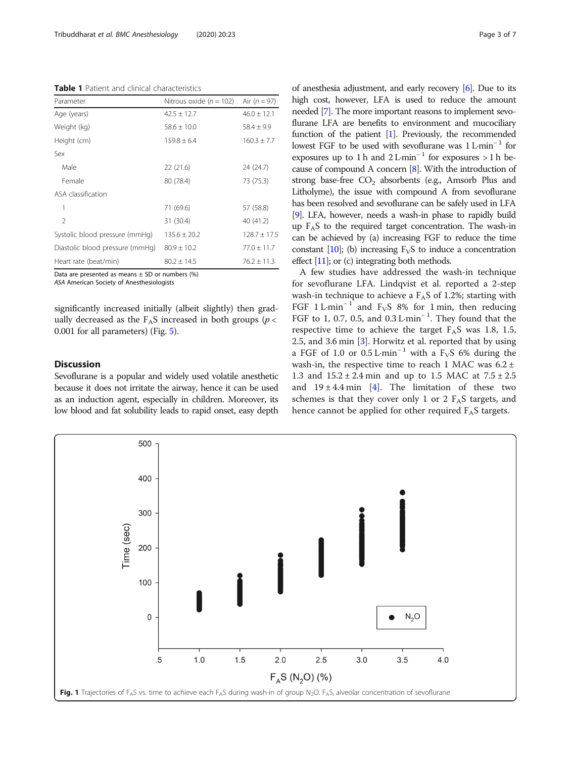<span id="page-2-0"></span>Table 1 Patient and clinical characteristics

| Parameter                       | Nitrous oxide $(n = 102)$ | Air $(n = 97)$   |  |
|---------------------------------|---------------------------|------------------|--|
| Age (years)                     | $42.5 \pm 12.7$           | $46.0 \pm 12.1$  |  |
| Weight (kg)                     | $58.6 + 10.0$             | $58.4 \pm 9.9$   |  |
| Height (cm)                     | $159.8 + 6.4$             | $160.3 + 7.7$    |  |
| Sex                             |                           |                  |  |
| Male                            | 22(21.6)                  | 24 (24.7)        |  |
| Female                          | 80 (78.4)                 | 73 (75.3)        |  |
| ASA classification              |                           |                  |  |
| 1                               | 71 (69.6)                 | 57 (58.8)        |  |
| $\mathfrak{D}$                  | 31 (30.4)                 | 40 (41.2)        |  |
| Systolic blood pressure (mmHg)  | $135.6 + 20.2$            | $128.7 \pm 17.5$ |  |
| Diastolic blood pressure (mmHg) | $80.9 \pm 10.2$           | $77.0 + 11.7$    |  |
| Heart rate (beat/min)           | $80.2 + 14.5$             | $76.2 + 11.3$    |  |

Data are presented as means  $\pm$  SD or numbers (%)

ASA American Society of Anesthesiologists

significantly increased initially (albeit slightly) then gradually decreased as the  $F_A S$  increased in both groups ( $p <$ 0.001 for all parameters) (Fig. [5](#page-5-0)).

# **Discussion**

Sevoflurane is a popular and widely used volatile anesthetic because it does not irritate the airway, hence it can be used as an induction agent, especially in children. Moreover, its low blood and fat solubility leads to rapid onset, easy depth of anesthesia adjustment, and early recovery [[6](#page-6-0)]. Due to its high cost, however, LFA is used to reduce the amount needed [[7](#page-6-0)]. The more important reasons to implement sevoflurane LFA are benefits to environment and mucociliary function of the patient [\[1\]](#page-6-0). Previously, the recommended lowest FGF to be used with sevoflurane was 1 L·min<sup>-1</sup> for exposures up to 1 h and  $2$  L·min<sup>-1</sup> for exposures > 1 h because of compound A concern [\[8\]](#page-6-0). With the introduction of strong base-free  $CO<sub>2</sub>$  absorbents (e.g., Amsorb Plus and Litholyme), the issue with compound A from sevoflurane has been resolved and sevoflurane can be safely used in LFA [[9](#page-6-0)]. LFA, however, needs a wash-in phase to rapidly build up  $F_A S$  to the required target concentration. The wash-in can be achieved by (a) increasing FGF to reduce the time constant  $[10]$  $[10]$ ; (b) increasing  $F_vS$  to induce a concentration effect [\[11](#page-6-0)]; or (c) integrating both methods.

A few studies have addressed the wash-in technique for sevoflurane LFA. Lindqvist et al. reported a 2-step wash-in technique to achieve a  $F_A S$  of 1.2%; starting with FGF  $1 \text{ L-min}^{-1}$  and F<sub>V</sub>S 8% for 1 min, then reducing FGF to 1, 0.7, 0.5, and 0.3 L·min<sup>−</sup> <sup>1</sup> . They found that the respective time to achieve the target  $F<sub>A</sub>S$  was 1.8, 1.5, 2.5, and 3.6 min [[3\]](#page-6-0). Horwitz et al. reported that by using a FGF of 1.0 or  $0.5$  L·min<sup>-1</sup> with a F<sub>V</sub>S 6% during the wash-in, the respective time to reach 1 MAC was  $6.2 \pm$ 1.3 and  $15.2 \pm 2.4$  min and up to 1.5 MAC at  $7.5 \pm 2.5$ and  $19 \pm 4.4$  min [\[4](#page-6-0)]. The limitation of these two schemes is that they cover only 1 or 2  $F<sub>A</sub>S$  targets, and hence cannot be applied for other required  $F_A S$  targets.

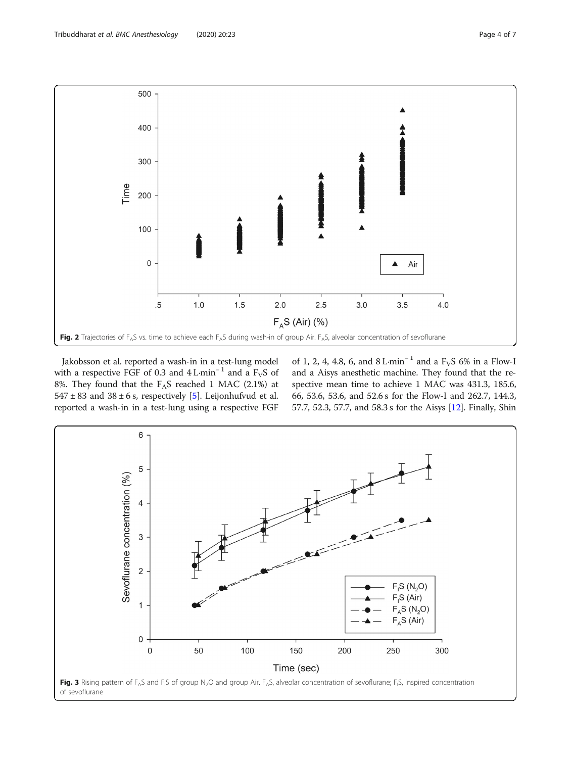<span id="page-3-0"></span>

Jakobsson et al. reported a wash-in in a test-lung model with a respective FGF of 0.3 and  $4 L·min^{-1}$  and a F<sub>V</sub>S of 8%. They found that the  $F_AS$  reached 1 MAC (2.1%) at  $547 \pm 83$  $547 \pm 83$  and  $38 \pm 6$  s, respectively [5]. Leijonhufvud et al. reported a wash-in in a test-lung using a respective FGF of 1, 2, 4, 4.8, 6, and 8 L·min<sup>-1</sup> and a F<sub>V</sub>S 6% in a Flow-I and a Aisys anesthetic machine. They found that the respective mean time to achieve 1 MAC was 431.3, 185.6, 66, 53.6, 53.6, and 52.6 s for the Flow-I and 262.7, 144.3, 57.7, 52.3, 57.7, and 58.3 s for the Aisys [\[12\]](#page-6-0). Finally, Shin

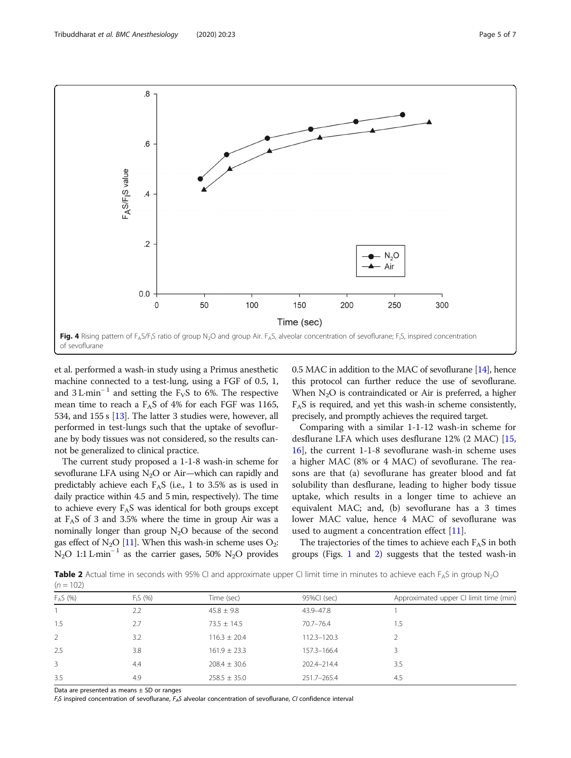<span id="page-4-0"></span>

et al. performed a wash-in study using a Primus anesthetic machine connected to a test-lung, using a FGF of 0.5, 1, and  $3$  L·min<sup>-1</sup> and setting the F<sub>V</sub>S to 6%. The respective mean time to reach a  $F<sub>A</sub>S$  of 4% for each FGF was 1165, 534, and 155 s [\[13\]](#page-6-0). The latter 3 studies were, however, all performed in test-lungs such that the uptake of sevoflurane by body tissues was not considered, so the results cannot be generalized to clinical practice.

The current study proposed a 1-1-8 wash-in scheme for sevoflurane LFA using  $N_2O$  or Air—which can rapidly and predictably achieve each  $F_A S$  (i.e., 1 to 3.5% as is used in daily practice within 4.5 and 5 min, respectively). The time to achieve every  $F_A S$  was identical for both groups except at  $F<sub>A</sub>S$  of 3 and 3.5% where the time in group Air was a nominally longer than group  $N_2O$  because of the second gas effect of  $N_2O$  [[11\]](#page-6-0). When this wash-in scheme uses  $O_2$ : N<sub>2</sub>O 1:1 L·min<sup>-1</sup> as the carrier gases, 50% N<sub>2</sub>O provides 0.5 MAC in addition to the MAC of sevoflurane [\[14\]](#page-6-0), hence this protocol can further reduce the use of sevoflurane. When  $N<sub>2</sub>O$  is contraindicated or Air is preferred, a higher  $F_A S$  is required, and yet this wash-in scheme consistently, precisely, and promptly achieves the required target.

Comparing with a similar 1-1-12 wash-in scheme for desflurane LFA which uses desflurane 12% (2 MAC) [[15](#page-6-0), [16\]](#page-6-0), the current 1-1-8 sevoflurane wash-in scheme uses a higher MAC (8% or 4 MAC) of sevoflurane. The reasons are that (a) sevoflurane has greater blood and fat solubility than desflurane, leading to higher body tissue uptake, which results in a longer time to achieve an equivalent MAC; and, (b) sevoflurane has a 3 times lower MAC value, hence 4 MAC of sevoflurane was used to augment a concentration effect [\[11](#page-6-0)].

The trajectories of the times to achieve each  $F<sub>A</sub>S$  in both groups (Figs. [1](#page-2-0) and [2](#page-3-0)) suggests that the tested wash-in

**Table 2** Actual time in seconds with 95% CI and approximate upper CI limit time in minutes to achieve each  $F_A S$  in group  $N_2O$  $(n = 102)$ 

| $FAS$ (%)      | $F_1S(96)$ | Time (sec)       | 95%CI (sec)   | Approximated upper CI limit time (min) |
|----------------|------------|------------------|---------------|----------------------------------------|
|                | 2.2        | $45.8 \pm 9.8$   | 43.9-47.8     |                                        |
| 1.5            | 2.7        | $73.5 \pm 14.5$  | $70.7 - 76.4$ | 1.5                                    |
| $\overline{2}$ | 3.2        | $116.3 \pm 20.4$ | 112.3-120.3   |                                        |
| 2.5            | 3.8        | $161.9 \pm 23.3$ | 157.3-166.4   |                                        |
| 3              | 4.4        | $208.4 \pm 30.6$ | 202.4-214.4   | 3.5                                    |
| 3.5            | 4.9        | $258.5 \pm 35.0$ | 251.7-265.4   | 4.5                                    |

Data are presented as means ± SD or ranges

 $F_1S$  inspired concentration of sevoflurane,  $F_AS$  alveolar concentration of sevoflurane, CI confidence interval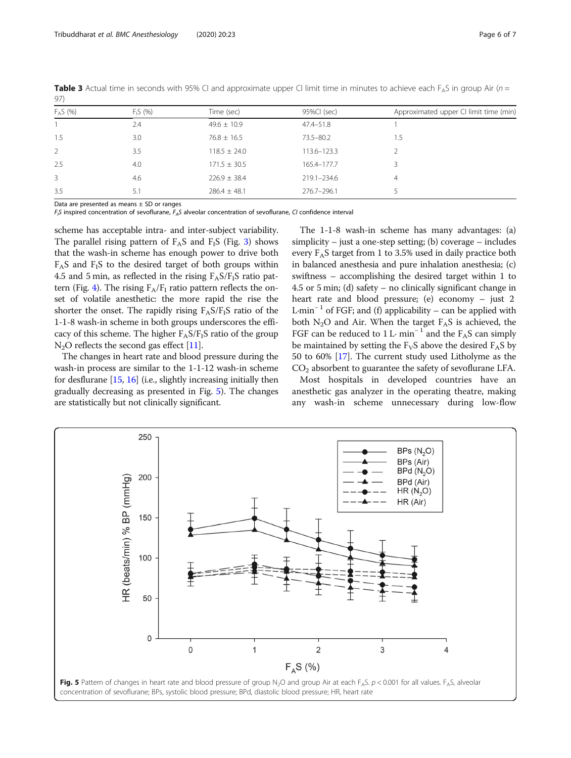| $\sim$ $\sim$ $\sim$ |            |                  |               |                                        |  |  |
|----------------------|------------|------------------|---------------|----------------------------------------|--|--|
| $F_A S$ (%)          | $F_1S(96)$ | Time (sec)       | 95%CI (sec)   | Approximated upper CI limit time (min) |  |  |
|                      | 2.4        | $49.6 \pm 10.9$  | $47.4 - 51.8$ |                                        |  |  |
| 1.5                  | 3.0        | $76.8 \pm 16.5$  | 73.5-80.2     | 1.5                                    |  |  |
| $\mathcal{L}$        | 3.5        | $118.5 \pm 24.0$ | 113.6-123.3   |                                        |  |  |
| 2.5                  | 4.0        | $171.5 \pm 30.5$ | 165.4-177.7   |                                        |  |  |
| 3                    | 4.6        | $226.9 \pm 38.4$ | 219.1-234.6   | 4                                      |  |  |
| 3.5                  | 5.1        | $286.4 \pm 48.1$ | 276.7-296.1   |                                        |  |  |
|                      |            |                  |               |                                        |  |  |

<span id="page-5-0"></span>Table 3 Actual time in seconds with 95% CI and approximate upper CI limit time in minutes to achieve each  $F_A S$  in group Air (n = 97)

Data are presented as means  $\pm$  SD or ranges

 $F_1S$  inspired concentration of sevoflurane,  $F_AS$  alveolar concentration of sevoflurane, CI confidence interval

scheme has acceptable intra- and inter-subject variability. The parallel rising pattern of  $F_A S$  and  $F_I S$  (Fig. [3](#page-3-0)) shows that the wash-in scheme has enough power to drive both  $F_A S$  and  $F_I S$  to the desired target of both groups within 4.5 and 5 min, as reflected in the rising  $F_A S/F_I S$  ratio pat-tern (Fig. [4\)](#page-4-0). The rising  $F_A/F_I$  ratio pattern reflects the onset of volatile anesthetic: the more rapid the rise the shorter the onset. The rapidly rising  $F_A S/F_I S$  ratio of the 1-1-8 wash-in scheme in both groups underscores the efficacy of this scheme. The higher  $F_A S/F_I S$  ratio of the group  $N_2O$  reflects the second gas effect [\[11\]](#page-6-0).

The changes in heart rate and blood pressure during the wash-in process are similar to the 1-1-12 wash-in scheme for desflurane [[15](#page-6-0), [16\]](#page-6-0) (i.e., slightly increasing initially then gradually decreasing as presented in Fig. 5). The changes are statistically but not clinically significant.

The 1-1-8 wash-in scheme has many advantages: (a) simplicity – just a one-step setting; (b) coverage – includes every  $F_A S$  target from 1 to 3.5% used in daily practice both in balanced anesthesia and pure inhalation anesthesia; (c) swiftness – accomplishing the desired target within 1 to 4.5 or 5 min; (d) safety – no clinically significant change in heart rate and blood pressure; (e) economy – just 2 L·min<sup>-1</sup> of FGF; and (f) applicability – can be applied with both  $N_2O$  and Air. When the target  $F_AS$  is achieved, the FGF can be reduced to 1 L· min<sup>-1</sup> and the F<sub>A</sub>S can simply be maintained by setting the  $F_VS$  above the desired  $F_AS$  by 50 to 60% [[17](#page-6-0)]. The current study used Litholyme as the  $CO<sub>2</sub>$  absorbent to guarantee the safety of sevoflurane LFA.

Most hospitals in developed countries have an anesthetic gas analyzer in the operating theatre, making any wash-in scheme unnecessary during low-flow